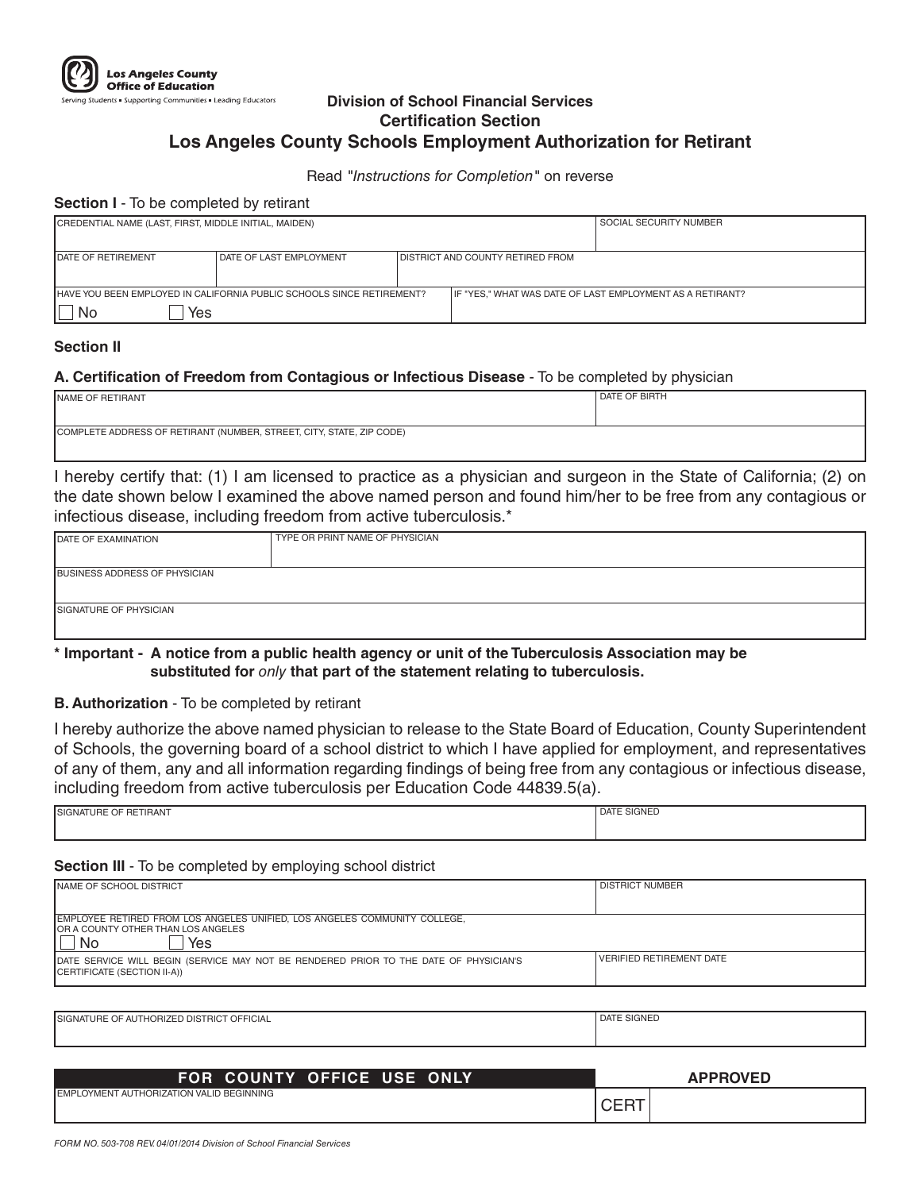

### **Division of School Financial Services Certification Section Los Angeles County Schools Employment Authorization for Retirant**

#### Read *"Instructions for Completion"* on reverse

#### **Section I** - To be completed by retirant

| CREDENTIAL NAME (LAST, FIRST, MIDDLE INITIAL, MAIDEN)                         |                           | SOCIAL SECURITY NUMBER |                                                           |  |
|-------------------------------------------------------------------------------|---------------------------|------------------------|-----------------------------------------------------------|--|
|                                                                               |                           |                        |                                                           |  |
| <b>IDATE OF RETIREMENT</b>                                                    | I DATE OF LAST EMPLOYMENT |                        | I DISTRICT AND COUNTY RETIRED FROM                        |  |
|                                                                               |                           |                        |                                                           |  |
| <b>IHAVE YOU BEEN EMPLOYED IN CALIFORNIA PUBLIC SCHOOLS SINCE RETIREMENT?</b> |                           |                        | IF "YES," WHAT WAS DATE OF LAST EMPLOYMENT AS A RETIRANT? |  |
| Yes<br>No                                                                     |                           |                        |                                                           |  |

#### **Section II**

### **A. Certification of Freedom from Contagious or Infectious Disease** - To be completed by physician

| <b>NAME OF RETIRANT</b>                                              | DATE OF BIRTH |  |
|----------------------------------------------------------------------|---------------|--|
|                                                                      |               |  |
|                                                                      |               |  |
|                                                                      |               |  |
|                                                                      |               |  |
| COMPLETE ADDRESS OF RETIRANT (NUMBER, STREET, CITY, STATE, ZIP CODE) |               |  |
|                                                                      |               |  |
|                                                                      |               |  |

I hereby certify that: (1) I am licensed to practice as a physician and surgeon in the State of California; (2) on the date shown below I examined the above named person and found him/her to be free from any contagious or infectious disease, including freedom from active tuberculosis.\*

| DATE OF EXAMINATION                  | TYPE OR PRINT NAME OF PHYSICIAN |  |
|--------------------------------------|---------------------------------|--|
| <b>BUSINESS ADDRESS OF PHYSICIAN</b> |                                 |  |
|                                      |                                 |  |
| <b>SIGNATURE OF PHYSICIAN</b>        |                                 |  |

#### **\* Important - A notice from a public health agency or unit of the Tuberculosis Association may be substituted for** *only* **that part of the statement relating to tuberculosis.**

**B. Authorization** - To be completed by retirant

I hereby authorize the above named physician to release to the State Board of Education, County Superintendent of Schools, the governing board of a school district to which I have applied for employment, and representatives of any of them, any and all information regarding findings of being free from any contagious or infectious disease, including freedom from active tuberculosis per Education Code 44839.5(a).

| <b>RETIRANT</b><br><b>ISIGNATURE OF</b> | <b>TE SIGNED</b><br><b>DATE</b> |
|-----------------------------------------|---------------------------------|
|                                         |                                 |
|                                         |                                 |

#### **Section III** - To be completed by employing school district

| <b>INAME OF SCHOOL DISTRICT</b>                                                                                      | <b>DISTRICT NUMBER</b>          |  |
|----------------------------------------------------------------------------------------------------------------------|---------------------------------|--|
|                                                                                                                      |                                 |  |
|                                                                                                                      |                                 |  |
| EMPLOYEE RETIRED FROM LOS ANGELES UNIFIED, LOS ANGELES COMMUNITY COLLEGE,                                            |                                 |  |
| OR A COUNTY OTHER THAN LOS ANGELES                                                                                   |                                 |  |
| Yes<br>. No                                                                                                          |                                 |  |
| DATE SERVICE WILL BEGIN (SERVICE MAY NOT BE RENDERED PRIOR TO THE DATE OF PHYSICIAN'S<br>CERTIFICATE (SECTION II-A)) | <b>VERIFIED RETIREMENT DATE</b> |  |

| <b>ISIGNATURE OF AUTHORIZED DISTRICT OFFICIAL</b> | DATE SIGNED |
|---------------------------------------------------|-------------|
|                                                   |             |
|                                                   |             |
|                                                   |             |
|                                                   |             |
|                                                   |             |

| FOR COUNTY OFFICE USE ONLY                       | <b>APPROVED</b> |
|--------------------------------------------------|-----------------|
| <b>IEMPLOYMENT AUTHORIZATION VALID BEGINNING</b> | ◡∟╷             |